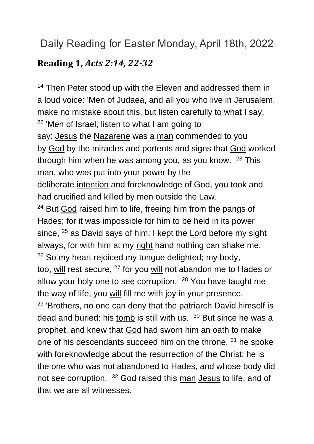# Daily Reading for Easter Monday, April 18th, 2022

### **Reading 1,** *Acts 2:14, 22-32*

<sup>14</sup> Then Peter stood up with the Eleven and addressed them in a loud voice: 'Men of Judaea, and all you who live in Jerusalem, make no mistake about this, but listen carefully to what I say.  $22$  'Men of Israel, listen to what I am going to say: [Jesus](https://www.catholic.org/clife/jesus) the [Nazarene](https://www.catholic.org/encyclopedia/view.php?id=8357) was a [man](https://www.catholic.org/encyclopedia/view.php?id=7463) commended to you by [God](https://www.catholic.org/encyclopedia/view.php?id=5217) by the miracles and portents and signs that [God](https://www.catholic.org/encyclopedia/view.php?id=5217) worked through him when he was among you, as you know. <sup>23</sup> This man, who was put into your power by the deliberate [intention](https://www.catholic.org/encyclopedia/view.php?id=6145) and foreknowledge of God, you took and had crucified and killed by men outside the Law. <sup>24</sup> But [God](https://www.catholic.org/encyclopedia/view.php?id=5217) raised him to life, freeing him from the pangs of Hades; for it was impossible for him to be held in its power since, <sup>25</sup> as David says of him: I kept the **[Lord](https://www.catholic.org/encyclopedia/view.php?id=5217)** before my sight always, for with him at my [right](https://www.catholic.org/encyclopedia/view.php?id=10046) hand nothing can shake me. <sup>26</sup> So my heart rejoiced my tongue delighted; my body, too, [will](https://www.catholic.org/encyclopedia/view.php?id=12332) rest secure, <sup>27</sup> for you [will](https://www.catholic.org/encyclopedia/view.php?id=12332) not abandon me to Hades or allow your holy one to see corruption. <sup>28</sup> You have taught me the way of life, you [will](https://www.catholic.org/encyclopedia/view.php?id=12332) fill me with joy in your presence. <sup>29</sup> 'Brothers, no one can deny that the [patriarch](https://www.catholic.org/encyclopedia/view.php?id=9055) David himself is dead and buried: his [tomb](https://www.catholic.org/encyclopedia/view.php?id=11611) is still with us. <sup>30</sup> But since he was a prophet, and knew that [God](https://www.catholic.org/encyclopedia/view.php?id=5217) had sworn him an oath to make one of his descendants succeed him on the throne, <sup>31</sup> he spoke with foreknowledge about the resurrection of the Christ: he is the one who was not abandoned to Hades, and whose body did not see corruption. <sup>32</sup> God raised this [man](https://www.catholic.org/encyclopedia/view.php?id=7463) [Jesus](https://www.catholic.org/clife/jesus) to life, and of that we are all witnesses.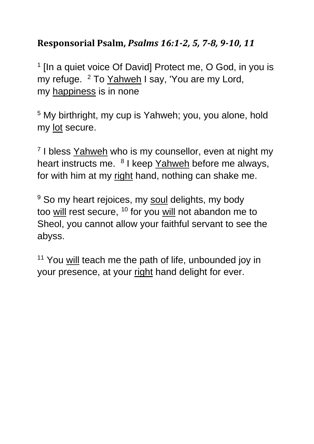## **Responsorial Psalm,** *Psalms 16:1-2, 5, 7-8, 9-10, 11*

<sup>1</sup> [In a quiet voice Of David] Protect me, O God, in you is my refuge. <sup>2</sup> To [Yahweh](https://www.catholic.org/encyclopedia/view.php?id=6291) I say, 'You are my Lord, my [happiness](https://www.catholic.org/encyclopedia/view.php?id=5521) is in none

<sup>5</sup> My birthright, my cup is Yahweh; you, you alone, hold my [lot](https://www.catholic.org/encyclopedia/view.php?id=7215) secure.

<sup>7</sup> I bless [Yahweh](https://www.catholic.org/encyclopedia/view.php?id=6291) who is my counsellor, even at night my heart instructs me. <sup>8</sup> I keep [Yahweh](https://www.catholic.org/encyclopedia/view.php?id=6291) before me always, for with him at my [right](https://www.catholic.org/encyclopedia/view.php?id=10046) hand, nothing can shake me.

<sup>9</sup> So my heart rejoices, my [soul](https://www.catholic.org/encyclopedia/view.php?id=10963) delights, my body too [will](https://www.catholic.org/encyclopedia/view.php?id=12332) rest secure,  $10$  for you will not abandon me to Sheol, you cannot allow your faithful servant to see the abyss.

<sup>11</sup> You [will](https://www.catholic.org/encyclopedia/view.php?id=12332) teach me the path of life, unbounded joy in your presence, at your [right](https://www.catholic.org/encyclopedia/view.php?id=10046) hand delight for ever.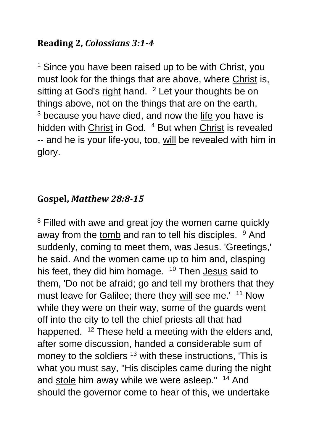### **Reading 2,** *Colossians 3:1-4*

<sup>1</sup> Since you have been raised up to be with Christ, you must look for the things that are above, where [Christ](https://www.catholic.org/clife/jesus) is, sitting at God's [right](https://www.catholic.org/encyclopedia/view.php?id=10046) hand. <sup>2</sup> Let your thoughts be on things above, not on the things that are on the earth,  $3$  because you have died, and now the [life](https://www.catholic.org/encyclopedia/view.php?id=7101) you have is hidden with [Christ](https://www.catholic.org/clife/jesus) in God. <sup>4</sup> But when Christ is revealed -- and he is your life-you, too, [will](https://www.catholic.org/encyclopedia/view.php?id=12332) be revealed with him in glory.

## **Gospel,** *Matthew 28:8-15*

<sup>8</sup> Filled with awe and great joy the women came quickly away from the [tomb](https://www.catholic.org/encyclopedia/view.php?id=11611) and ran to tell his disciples. <sup>9</sup> And suddenly, coming to meet them, was Jesus. 'Greetings,' he said. And the women came up to him and, clasping his feet, they did him homage. <sup>10</sup> Then **[Jesus](https://www.catholic.org/clife/jesus)** said to them, 'Do not be afraid; go and tell my brothers that they must leave for Galilee; there they [will](https://www.catholic.org/encyclopedia/view.php?id=12332) see me.' <sup>11</sup> Now while they were on their way, some of the guards went off into the city to tell the chief priests all that had happened. <sup>12</sup> These held a meeting with the elders and, after some discussion, handed a considerable sum of money to the soldiers <sup>13</sup> with these instructions, 'This is what you must say, "His disciples came during the night and [stole](https://www.catholic.org/encyclopedia/view.php?id=11097) him away while we were asleep." <sup>14</sup> And should the governor come to hear of this, we undertake